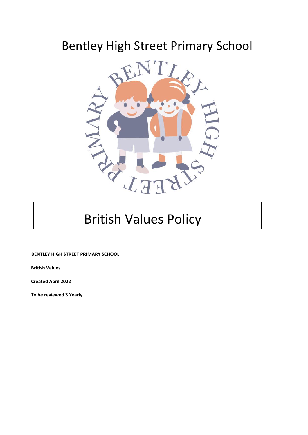## Bentley High Street Primary School



# British Values Policy

**BENTLEY HIGH STREET PRIMARY SCHOOL**

 **British Values**

 **Created April 2022**

 **To be reviewed 3 Yearly**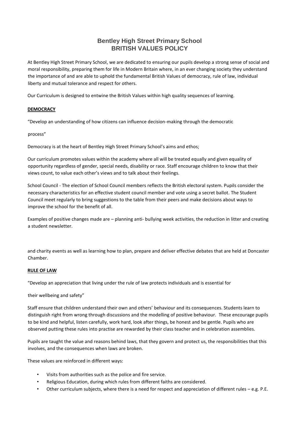### **Bentley High Street Primary School BRITISH VALUES POLICY**

At Bentley High Street Primary School, we are dedicated to ensuring our pupils develop a strong sense of social and moral responsibility, preparing them for life in Modern Britain where, in an ever changing society they understand the importance of and are able to uphold the fundamental British Values of democracy, rule of law, individual liberty and mutual tolerance and respect for others.

Our Curriculum is designed to entwine the British Values within high quality sequences of learning.

#### **DEMOCRACY**

"Develop an understanding of how citizens can influence decision-making through the democratic

process"

Democracy is at the heart of Bentley High Street Primary School's aims and ethos;

Our curriculum promotes values within the academy where all will be treated equally and given equality of opportunity regardless of gender, special needs, disability or race. Staff encourage children to know that their views count, to value each other's views and to talk about their feelings.

School Council - The election of School Council members reflects the British electoral system. Pupils consider the necessary characteristics for an effective student council member and vote using a secret ballot. The Student Council meet regularly to bring suggestions to the table from their peers and make decisions about ways to improve the school for the benefit of all.

Examples of positive changes made are – planning anti- bullying week activities, the reduction in litter and creating a student newsletter.

and charity events as well as learning how to plan, prepare and deliver effective debates that are held at Doncaster Chamber.

#### **RULE OF LAW**

"Develop an appreciation that living under the rule of law protects individuals and is essential for

their wellbeing and safety"

Staff ensure that children understand their own and others' behaviour and its consequences. Students learn to distinguish right from wrong through discussions and the modelling of positive behaviour. These encourage pupils to be kind and helpful, listen carefully, work hard, look after things, be honest and be gentle. Pupils who are observed putting these rules into practise are rewarded by their class teacher and in celebration assemblies.

Pupils are taught the value and reasons behind laws, that they govern and protect us, the responsibilities that this involves, and the consequences when laws are broken.

These values are reinforced in different ways:

- Visits from authorities such as the police and fire service.
- Religious Education, during which rules from different faiths are considered.
- Other curriculum subjects, where there is a need for respect and appreciation of different rules  $-e.g.$  P.E.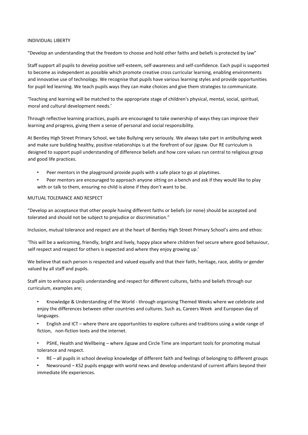#### INDIVIDUAL LIBERTY

"Develop an understanding that the freedom to choose and hold other faiths and beliefs is protected by law"

Staff support all pupils to develop positive self-esteem, self-awareness and self-confidence. Each pupil is supported to become as independent as possible which promote creative cross curricular learning, enabling environments and innovative use of technology. We recognise that pupils have various learning styles and provide opportunities for pupil led learning. We teach pupils ways they can make choices and give them strategies to communicate.

'Teaching and learning will be matched to the appropriate stage of children's physical, mental, social, spiritual, moral and cultural development needs.'

Through reflective learning practices, pupils are encouraged to take ownership of ways they can improve their learning and progress, giving them a sense of personal and social responsibility.

At Bentley High Street Primary School, we take Bullying very seriously. We always take part in antibullying week and make sure building healthy, positive relationships is at the forefront of our jigsaw. Our RE curriculum is designed to support pupil understanding of difference beliefs and how core values run central to religious group and good life practices.

- Peer mentors in the playground provide pupils with a safe place to go at playtimes.
- Peer mentors are encouraged to approach anyone sitting on a bench and ask if they would like to play with or talk to them, ensuring no child is alone if they don't want to be.

#### MUTUAL TOLERANCE AND RESPECT

"Develop an acceptance that other people having different faiths or beliefs (or none) should be accepted and tolerated and should not be subject to prejudice or discrimination."

Inclusion, mutual tolerance and respect are at the heart of Bentley High Street Primary School's aims and ethos:

'This will be a welcoming, friendly, bright and lively, happy place where children feel secure where good behaviour, self respect and respect for others is expected and where they enjoy growing up.'

We believe that each person is respected and valued equally and that their faith, heritage, race, ability or gender valued by all staff and pupils.

Staff aim to enhance pupils understanding and respect for different cultures, faiths and beliefs through our curriculum, examples are;

- Knowledge & Understanding of the World through organising Themed Weeks where we celebrate and enjoy the differences between other countries and cultures. Such as, Careers Week and European day of languages.
- English and ICT where there are opportunities to explore cultures and traditions using a wide range of fiction, non-fiction texts and the internet.
- PSHE, Health and Wellbeing where Jigsaw and Circle Time are important tools for promoting mutual tolerance and respect.
- RE all pupils in school develop knowledge of different faith and feelings of belonging to different groups
- Newsround KS2 pupils engage with world news and develop understand of current affairs beyond their immediate life experiences.